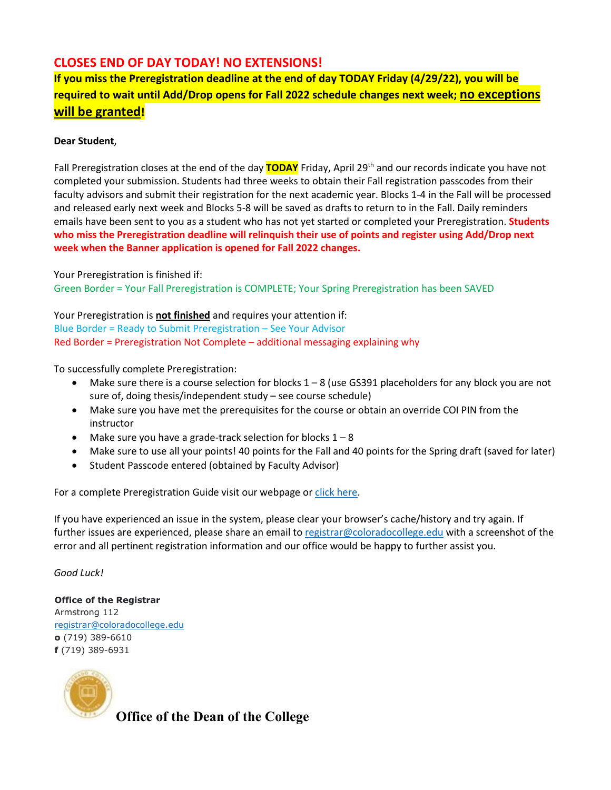## **CLOSES END OF DAY TODAY! NO EXTENSIONS!**

**If you miss the Preregistration deadline at the end of day TODAY Friday (4/29/22), you will be required to wait until Add/Drop opens for Fall 2022 schedule changes next week; no exceptions will be granted!** 

## **Dear Student**,

Fall Preregistration closes at the end of the day **TODAY** Friday, April 29th and our records indicate you have not completed your submission. Students had three weeks to obtain their Fall registration passcodes from their faculty advisors and submit their registration for the next academic year. Blocks 1-4 in the Fall will be processed and released early next week and Blocks 5-8 will be saved as drafts to return to in the Fall. Daily reminders emails have been sent to you as a student who has not yet started or completed your Preregistration. **Students who miss the Preregistration deadline will relinquish their use of points and register using Add/Drop next week when the Banner application is opened for Fall 2022 changes.**

Your Preregistration is finished if: Green Border = Your Fall Preregistration is COMPLETE; Your Spring Preregistration has been SAVED

Your Preregistration is **not finished** and requires your attention if: Blue Border = Ready to Submit Preregistration – See Your Advisor Red Border = Preregistration Not Complete – additional messaging explaining why

To successfully complete Preregistration:

- Make sure there is a course selection for blocks 1 8 (use GS391 placeholders for any block you are not sure of, doing thesis/independent study – see course schedule)
- Make sure you have met the prerequisites for the course or obtain an override COI PIN from the instructor
- Make sure you have a grade-track selection for blocks  $1 8$
- Make sure to use all your points! 40 points for the Fall and 40 points for the Spring draft (saved for later)
- Student Passcode entered (obtained by Faculty Advisor)

For a complete Preregistration Guide visit our webpage or click [here.](https://www.coloradocollege.edu/offices/registrar/registration/resources-and-guidelines-for-points.html)

If you have experienced an issue in the system, please clear your browser's cache/history and try again. If further issues are experienced, please share an email t[o registrar@coloradocollege.edu](mailto:registrar@coloradocollege.edu) with a screenshot of the error and all pertinent registration information and our office would be happy to further assist you.

## *Good Luck!*

**Office of the Registrar** Armstrong 112 [registrar@coloradocollege.edu](mailto:registrar@coloradocollege.edu) **o** (719) 389-6610 **f** (719) 389-6931



**Office of the Dean of the College**